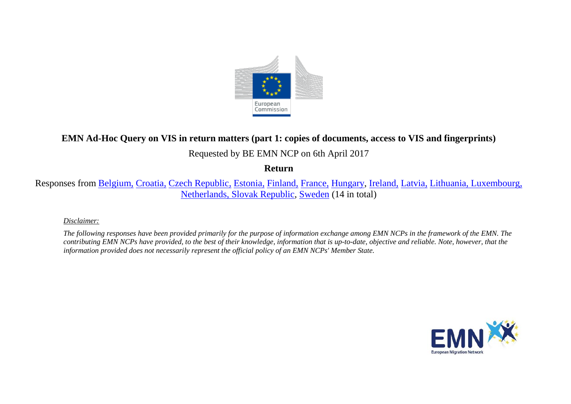

# **EMN Ad-Hoc Query on VIS in return matters (part 1: copies of documents, access to VIS and fingerprints)**

# Requested by BE EMN NCP on 6th April 2017

## **Return**

Responses from [Belgium,](#page-2-0) [Croatia,](#page-2-1) [Czech Republic,](#page-3-0) [Estonia,](#page-3-1) [Finland,](#page-3-2) [France,](#page-3-3) [Hungary,](#page-3-4) [Ireland,](#page-4-0) [Latvia,](#page-4-1) [Lithuania, Luxembourg,](#page-5-0) [Netherlands, Slovak Republic,](#page-6-0) [Sweden](#page-7-0) (14 in total)

## *Disclaimer:*

*The following responses have been provided primarily for the purpose of information exchange among EMN NCPs in the framework of the EMN. The contributing EMN NCPs have provided, to the best of their knowledge, information that is up-to-date, objective and reliable. Note, however, that the information provided does not necessarily represent the official policy of an EMN NCPs' Member State.*

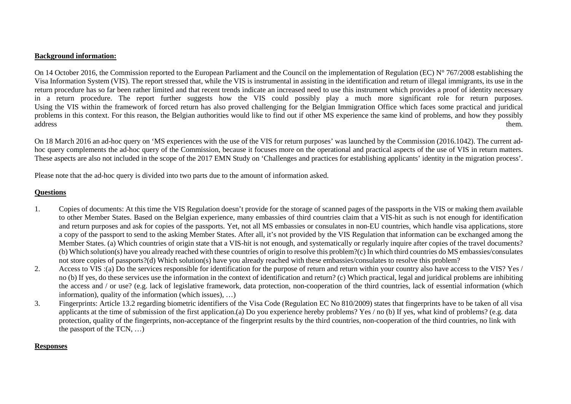#### **Background information:**

On 14 October 2016, the Commission reported to the European Parliament and the Council on the implementation of Regulation (EC)  $N^{\circ}$  767/2008 establishing the Visa Information System (VIS). The report stressed that, while the VIS is instrumental in assisting in the identification and return of illegal immigrants, its use in the return procedure has so far been rather limited and that recent trends indicate an increased need to use this instrument which provides a proof of identity necessary in a return procedure. The report further suggests how the VIS could possibly play a much more significant role for return purposes. Using the VIS within the framework of forced return has also proved challenging for the Belgian Immigration Office which faces some practical and juridical problems in this context. For this reason, the Belgian authorities would like to find out if other MS experience the same kind of problems, and how they possibly address them.

On 18 March 2016 an ad-hoc query on 'MS experiences with the use of the VIS for return purposes' was launched by the Commission (2016.1042). The current adhoc query complements the ad-hoc query of the Commission, because it focuses more on the operational and practical aspects of the use of VIS in return matters. These aspects are also not included in the scope of the 2017 EMN Study on 'Challenges and practices for establishing applicants' identity in the migration process'.

Please note that the ad-hoc query is divided into two parts due to the amount of information asked.

## **Questions**

- 1. Copies of documents: At this time the VIS Regulation doesn't provide for the storage of scanned pages of the passports in the VIS or making them available to other Member States. Based on the Belgian experience, many embassies of third countries claim that a VIS-hit as such is not enough for identification and return purposes and ask for copies of the passports. Yet, not all MS embassies or consulates in non-EU countries, which handle visa applications, store a copy of the passport to send to the asking Member States. After all, it's not provided by the VIS Regulation that information can be exchanged among the Member States. (a) Which countries of origin state that a VIS-hit is not enough, and systematically or regularly inquire after copies of the travel documents? (b) Which solution(s) have you already reached with these countries of origin to resolve this problem?(c) In which third countries do MS embassies/consulates not store copies of passports?(d) Which solution(s) have you already reached with these embassies/consulates to resolve this problem?
- 2. Access to VIS:(a) Do the services responsible for identification for the purpose of return and return within your country also have access to the VIS? Yes / no (b) If yes, do these services use the information in the context of identification and return? (c) Which practical, legal and juridical problems are inhibiting the access and / or use? (e.g. lack of legislative framework, data protection, non-cooperation of the third countries, lack of essential information (which information), quality of the information (which issues), …)
- 3. Fingerprints: Article 13.2 regarding biometric identifiers of the Visa Code (Regulation EC No 810/2009) states that fingerprints have to be taken of all visa applicants at the time of submission of the first application.(a) Do you experience hereby problems? Yes / no (b) If yes, what kind of problems? (e.g. data protection, quality of the fingerprints, non-acceptance of the fingerprint results by the third countries, non-cooperation of the third countries, no link with the passport of the TCN, …)

### **Responses**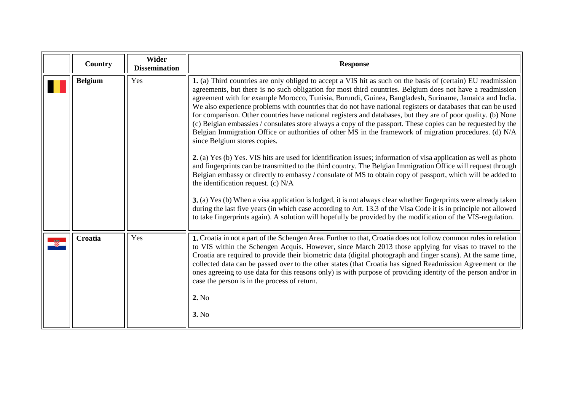<span id="page-2-1"></span><span id="page-2-0"></span>

| Country        | Wider<br><b>Dissemination</b> | <b>Response</b>                                                                                                                                                                                                                                                                                                                                                                                                                                                                                                                                                                                                                                                                                                                                                                                                                                                                                                                                                                                                                                                                                                                                                                                                                                                                                                                                                                                                                                                                                                                                                                               |
|----------------|-------------------------------|-----------------------------------------------------------------------------------------------------------------------------------------------------------------------------------------------------------------------------------------------------------------------------------------------------------------------------------------------------------------------------------------------------------------------------------------------------------------------------------------------------------------------------------------------------------------------------------------------------------------------------------------------------------------------------------------------------------------------------------------------------------------------------------------------------------------------------------------------------------------------------------------------------------------------------------------------------------------------------------------------------------------------------------------------------------------------------------------------------------------------------------------------------------------------------------------------------------------------------------------------------------------------------------------------------------------------------------------------------------------------------------------------------------------------------------------------------------------------------------------------------------------------------------------------------------------------------------------------|
| <b>Belgium</b> | Yes                           | 1. (a) Third countries are only obliged to accept a VIS hit as such on the basis of (certain) EU readmission<br>agreements, but there is no such obligation for most third countries. Belgium does not have a readmission<br>agreement with for example Morocco, Tunisia, Burundi, Guinea, Bangladesh, Suriname, Jamaica and India.<br>We also experience problems with countries that do not have national registers or databases that can be used<br>for comparison. Other countries have national registers and databases, but they are of poor quality. (b) None<br>(c) Belgian embassies / consulates store always a copy of the passport. These copies can be requested by the<br>Belgian Immigration Office or authorities of other MS in the framework of migration procedures. (d) N/A<br>since Belgium stores copies.<br>2. (a) Yes (b) Yes. VIS hits are used for identification issues; information of visa application as well as photo<br>and fingerprints can be transmitted to the third country. The Belgian Immigration Office will request through<br>Belgian embassy or directly to embassy / consulate of MS to obtain copy of passport, which will be added to<br>the identification request. (c) $N/A$<br><b>3.</b> (a) Yes (b) When a visa application is lodged, it is not always clear whether fingerprints were already taken<br>during the last five years (in which case according to Art. 13.3 of the Visa Code it is in principle not allowed<br>to take fingerprints again). A solution will hopefully be provided by the modification of the VIS-regulation. |
| Croatia        | Yes                           | 1. Croatia in not a part of the Schengen Area. Further to that, Croatia does not follow common rules in relation<br>to VIS within the Schengen Acquis. However, since March 2013 those applying for visas to travel to the<br>Croatia are required to provide their biometric data (digital photograph and finger scans). At the same time,<br>collected data can be passed over to the other states (that Croatia has signed Readmission Agreement or the<br>ones agreeing to use data for this reasons only) is with purpose of providing identity of the person and/or in<br>case the person is in the process of return.<br>2. No<br>3. No                                                                                                                                                                                                                                                                                                                                                                                                                                                                                                                                                                                                                                                                                                                                                                                                                                                                                                                                                |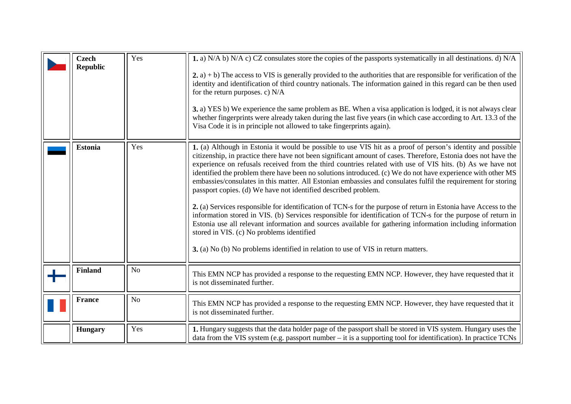<span id="page-3-4"></span><span id="page-3-3"></span><span id="page-3-2"></span><span id="page-3-1"></span><span id="page-3-0"></span>

| <b>Czech</b><br><b>Republic</b> | Yes            | 1. a) N/A b) N/A c) CZ consulates store the copies of the passports systematically in all destinations. d) N/A<br>$(2, a) + b$ ) The access to VIS is generally provided to the authorities that are responsible for verification of the<br>identity and identification of third country nationals. The information gained in this regard can be then used<br>for the return purposes. c) $N/A$<br>3. a) YES b) We experience the same problem as BE. When a visa application is lodged, it is not always clear<br>whether fingerprints were already taken during the last five years (in which case according to Art. 13.3 of the<br>Visa Code it is in principle not allowed to take fingerprints again).                                                                                                                                                                                                                                                                                                                                                                                                                     |
|---------------------------------|----------------|---------------------------------------------------------------------------------------------------------------------------------------------------------------------------------------------------------------------------------------------------------------------------------------------------------------------------------------------------------------------------------------------------------------------------------------------------------------------------------------------------------------------------------------------------------------------------------------------------------------------------------------------------------------------------------------------------------------------------------------------------------------------------------------------------------------------------------------------------------------------------------------------------------------------------------------------------------------------------------------------------------------------------------------------------------------------------------------------------------------------------------|
| <b>Estonia</b>                  | Yes            | 1. (a) Although in Estonia it would be possible to use VIS hit as a proof of person's identity and possible<br>citizenship, in practice there have not been significant amount of cases. Therefore, Estonia does not have the<br>experience on refusals received from the third countries related with use of VIS hits. (b) As we have not<br>identified the problem there have been no solutions introduced. (c) We do not have experience with other MS<br>embassies/consulates in this matter. All Estonian embassies and consulates fulfil the requirement for storing<br>passport copies. (d) We have not identified described problem.<br>2. (a) Services responsible for identification of TCN-s for the purpose of return in Estonia have Access to the<br>information stored in VIS. (b) Services responsible for identification of TCN-s for the purpose of return in<br>Estonia use all relevant information and sources available for gathering information including information<br>stored in VIS. (c) No problems identified<br>3. (a) No (b) No problems identified in relation to use of VIS in return matters. |
| <b>Finland</b>                  | N <sub>o</sub> | This EMN NCP has provided a response to the requesting EMN NCP. However, they have requested that it<br>is not disseminated further.                                                                                                                                                                                                                                                                                                                                                                                                                                                                                                                                                                                                                                                                                                                                                                                                                                                                                                                                                                                            |
| <b>France</b>                   | No             | This EMN NCP has provided a response to the requesting EMN NCP. However, they have requested that it<br>is not disseminated further.                                                                                                                                                                                                                                                                                                                                                                                                                                                                                                                                                                                                                                                                                                                                                                                                                                                                                                                                                                                            |
| <b>Hungary</b>                  | Yes            | 1. Hungary suggests that the data holder page of the passport shall be stored in VIS system. Hungary uses the<br>data from the VIS system (e.g. passport number – it is a supporting tool for identification). In practice TCNs                                                                                                                                                                                                                                                                                                                                                                                                                                                                                                                                                                                                                                                                                                                                                                                                                                                                                                 |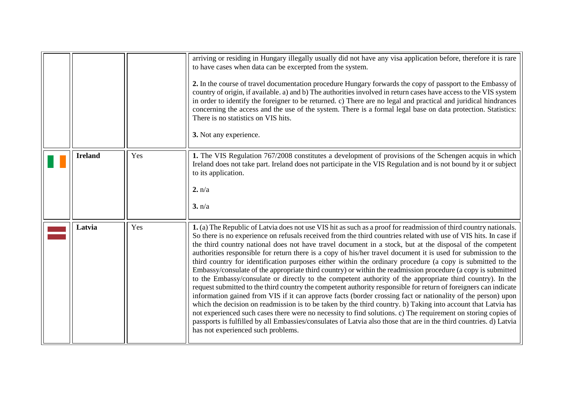<span id="page-4-1"></span><span id="page-4-0"></span>

|                |     | arriving or residing in Hungary illegally usually did not have any visa application before, therefore it is rare<br>to have cases when data can be excerpted from the system.<br>2. In the course of travel documentation procedure Hungary forwards the copy of passport to the Embassy of<br>country of origin, if available. a) and b) The authorities involved in return cases have access to the VIS system<br>in order to identify the foreigner to be returned. c) There are no legal and practical and juridical hindrances<br>concerning the access and the use of the system. There is a formal legal base on data protection. Statistics:<br>There is no statistics on VIS hits.<br>3. Not any experience.                                                                                                                                                                                                                                                                                                                                                                                                                                                                                                                                                                                                                                                                                                                             |
|----------------|-----|---------------------------------------------------------------------------------------------------------------------------------------------------------------------------------------------------------------------------------------------------------------------------------------------------------------------------------------------------------------------------------------------------------------------------------------------------------------------------------------------------------------------------------------------------------------------------------------------------------------------------------------------------------------------------------------------------------------------------------------------------------------------------------------------------------------------------------------------------------------------------------------------------------------------------------------------------------------------------------------------------------------------------------------------------------------------------------------------------------------------------------------------------------------------------------------------------------------------------------------------------------------------------------------------------------------------------------------------------------------------------------------------------------------------------------------------------|
| <b>Ireland</b> | Yes | 1. The VIS Regulation 767/2008 constitutes a development of provisions of the Schengen acquis in which<br>Ireland does not take part. Ireland does not participate in the VIS Regulation and is not bound by it or subject<br>to its application.<br>2. n/a<br>3. n/a                                                                                                                                                                                                                                                                                                                                                                                                                                                                                                                                                                                                                                                                                                                                                                                                                                                                                                                                                                                                                                                                                                                                                                             |
| Latvia         | Yes | 1. (a) The Republic of Latvia does not use VIS hit as such as a proof for readmission of third country nationals.<br>So there is no experience on refusals received from the third countries related with use of VIS hits. In case if<br>the third country national does not have travel document in a stock, but at the disposal of the competent<br>authorities responsible for return there is a copy of his/her travel document it is used for submission to the<br>third country for identification purposes either within the ordinary procedure (a copy is submitted to the<br>Embassy/consulate of the appropriate third country) or within the readmission procedure (a copy is submitted<br>to the Embassy/consulate or directly to the competent authority of the appropriate third country). In the<br>request submitted to the third country the competent authority responsible for return of foreigners can indicate<br>information gained from VIS if it can approve facts (border crossing fact or nationality of the person) upon<br>which the decision on readmission is to be taken by the third country. b) Taking into account that Latvia has<br>not experienced such cases there were no necessity to find solutions. c) The requirement on storing copies of<br>passports is fulfilled by all Embassies/consulates of Latvia also those that are in the third countries. d) Latvia<br>has not experienced such problems. |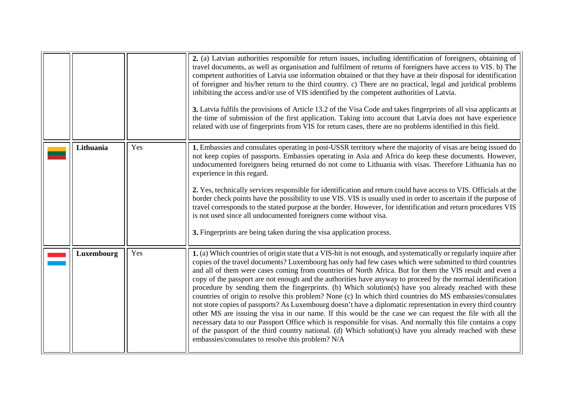<span id="page-5-0"></span>

|            |     | 2. (a) Latvian authorities responsible for return issues, including identification of foreigners, obtaining of<br>travel documents, as well as organisation and fulfilment of returns of foreigners have access to VIS. b) The<br>competent authorities of Latvia use information obtained or that they have at their disposal for identification<br>of foreigner and his/her return to the third country. c) There are no practical, legal and juridical problems<br>inhibiting the access and/or use of VIS identified by the competent authorities of Latvia.<br>3. Latvia fulfils the provisions of Article 13.2 of the Visa Code and takes fingerprints of all visa applicants at<br>the time of submission of the first application. Taking into account that Latvia does not have experience<br>related with use of fingerprints from VIS for return cases, there are no problems identified in this field.                                                                                                                                                                                                                                                                             |
|------------|-----|------------------------------------------------------------------------------------------------------------------------------------------------------------------------------------------------------------------------------------------------------------------------------------------------------------------------------------------------------------------------------------------------------------------------------------------------------------------------------------------------------------------------------------------------------------------------------------------------------------------------------------------------------------------------------------------------------------------------------------------------------------------------------------------------------------------------------------------------------------------------------------------------------------------------------------------------------------------------------------------------------------------------------------------------------------------------------------------------------------------------------------------------------------------------------------------------|
| Lithuania  | Yes | 1. Embassies and consulates operating in post-USSR territory where the majority of visas are being issued do<br>not keep copies of passports. Embassies operating in Asia and Africa do keep these documents. However,<br>undocumented foreigners being returned do not come to Lithuania with visas. Therefore Lithuania has no<br>experience in this regard.<br>2. Yes, technically services responsible for identification and return could have access to VIS. Officials at the<br>border check points have the possibility to use VIS. VIS is usually used in order to ascertain if the purpose of<br>travel corresponds to the stated purpose at the border. However, for identification and return procedures VIS<br>is not used since all undocumented foreigners come without visa.<br>3. Fingerprints are being taken during the visa application process.                                                                                                                                                                                                                                                                                                                           |
| Luxembourg | Yes | 1. (a) Which countries of origin state that a VIS-hit is not enough, and systematically or regularly inquire after<br>copies of the travel documents? Luxembourg has only had few cases which were submitted to third countries<br>and all of them were cases coming from countries of North Africa. But for them the VIS result and even a<br>copy of the passport are not enough and the authorities have anyway to proceed by the normal identification<br>procedure by sending them the fingerprints. (b) Which solution(s) have you already reached with these<br>countries of origin to resolve this problem? None (c) In which third countries do MS embassies/consulates<br>not store copies of passports? As Luxembourg doesn't have a diplomatic representation in every third country<br>other MS are issuing the visa in our name. If this would be the case we can request the file with all the<br>necessary data to our Passport Office which is responsible for visas. And normally this file contains a copy<br>of the passport of the third country national. (d) Which solution(s) have you already reached with these<br>embassies/consulates to resolve this problem? N/A |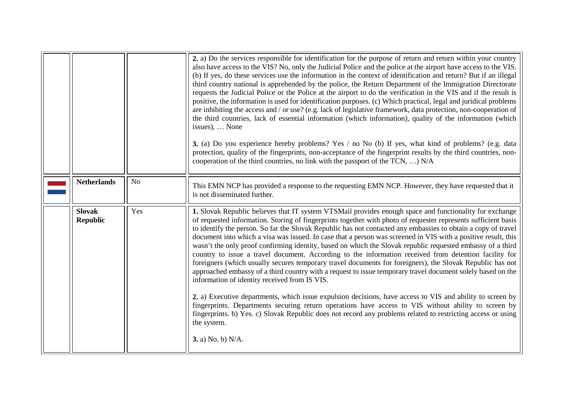<span id="page-6-0"></span>

|                                  |                | 2. a) Do the services responsible for identification for the purpose of return and return within your country<br>also have access to the VIS? No, only the Judicial Police and the police at the airport have access to the VIS.<br>(b) If yes, do these services use the information in the context of identification and return? But if an illegal<br>third country national is apprehended by the police, the Return Department of the Immigration Directorate<br>requests the Judicial Police or the Police at the airport to do the verification in the VIS and if the result is<br>positive, the information is used for identification purposes. (c) Which practical, legal and juridical problems<br>are inhibiting the access and / or use? (e.g. lack of legislative framework, data protection, non-cooperation of<br>the third countries, lack of essential information (which information), quality of the information (which<br>issues),  None<br>3. (a) Do you experience hereby problems? Yes / no No (b) If yes, what kind of problems? (e.g. data<br>protection, quality of the fingerprints, non-acceptance of the fingerprint results by the third countries, non-<br>cooperation of the third countries, no link with the passport of the TCN, ) N/A                                                                |
|----------------------------------|----------------|------------------------------------------------------------------------------------------------------------------------------------------------------------------------------------------------------------------------------------------------------------------------------------------------------------------------------------------------------------------------------------------------------------------------------------------------------------------------------------------------------------------------------------------------------------------------------------------------------------------------------------------------------------------------------------------------------------------------------------------------------------------------------------------------------------------------------------------------------------------------------------------------------------------------------------------------------------------------------------------------------------------------------------------------------------------------------------------------------------------------------------------------------------------------------------------------------------------------------------------------------------------------------------------------------------------------------------------|
| <b>Netherlands</b>               | N <sub>o</sub> | This EMN NCP has provided a response to the requesting EMN NCP. However, they have requested that it<br>is not disseminated further.                                                                                                                                                                                                                                                                                                                                                                                                                                                                                                                                                                                                                                                                                                                                                                                                                                                                                                                                                                                                                                                                                                                                                                                                     |
| <b>Slovak</b><br><b>Republic</b> | Yes            | 1. Slovak Republic believes that IT system VTSMail provides enough space and functionality for exchange<br>of requested information. Storing of fingerprints together with photo of requester represents sufficient basis<br>to identify the person. So far the Slovak Republic has not contacted any embassies to obtain a copy of travel<br>document into which a visa was issued. In case that a person was screened in VIS with a positive result, this<br>wasn't the only proof confirming identity, based on which the Slovak republic requested embassy of a third<br>country to issue a travel document. According to the information received from detention facility for<br>foreigners (which usually secures temporary travel documents for foreigners), the Slovak Republic has not<br>approached embassy of a third country with a request to issue temporary travel document solely based on the<br>information of identity received from IS VIS.<br>2. a) Executive departments, which issue expulsion decisions, have access to VIS and ability to screen by<br>fingerprints. Departments securing return operations have access to VIS without ability to screen by<br>fingerprints. b) Yes. c) Slovak Republic does not record any problems related to restricting access or using<br>the system.<br>3. a) No. b) N/A. |